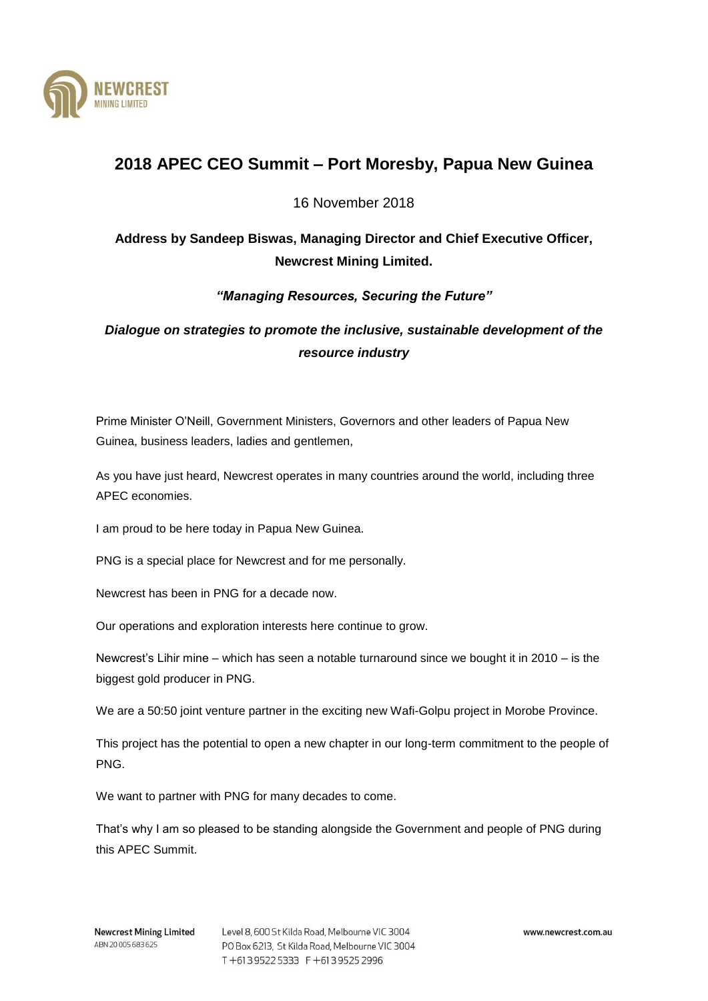

## **2018 APEC CEO Summit – Port Moresby, Papua New Guinea**

16 November 2018

## **Address by Sandeep Biswas, Managing Director and Chief Executive Officer, Newcrest Mining Limited.**

*"Managing Resources, Securing the Future"*

*Dialogue on strategies to promote the inclusive, sustainable development of the resource industry*

Prime Minister O'Neill, Government Ministers, Governors and other leaders of Papua New Guinea, business leaders, ladies and gentlemen,

As you have just heard, Newcrest operates in many countries around the world, including three APEC economies.

I am proud to be here today in Papua New Guinea.

PNG is a special place for Newcrest and for me personally.

Newcrest has been in PNG for a decade now.

Our operations and exploration interests here continue to grow.

Newcrest's Lihir mine – which has seen a notable turnaround since we bought it in 2010 – is the biggest gold producer in PNG.

We are a 50:50 joint venture partner in the exciting new Wafi-Golpu project in Morobe Province.

This project has the potential to open a new chapter in our long-term commitment to the people of PNG.

We want to partner with PNG for many decades to come.

That's why I am so pleased to be standing alongside the Government and people of PNG during this APEC Summit.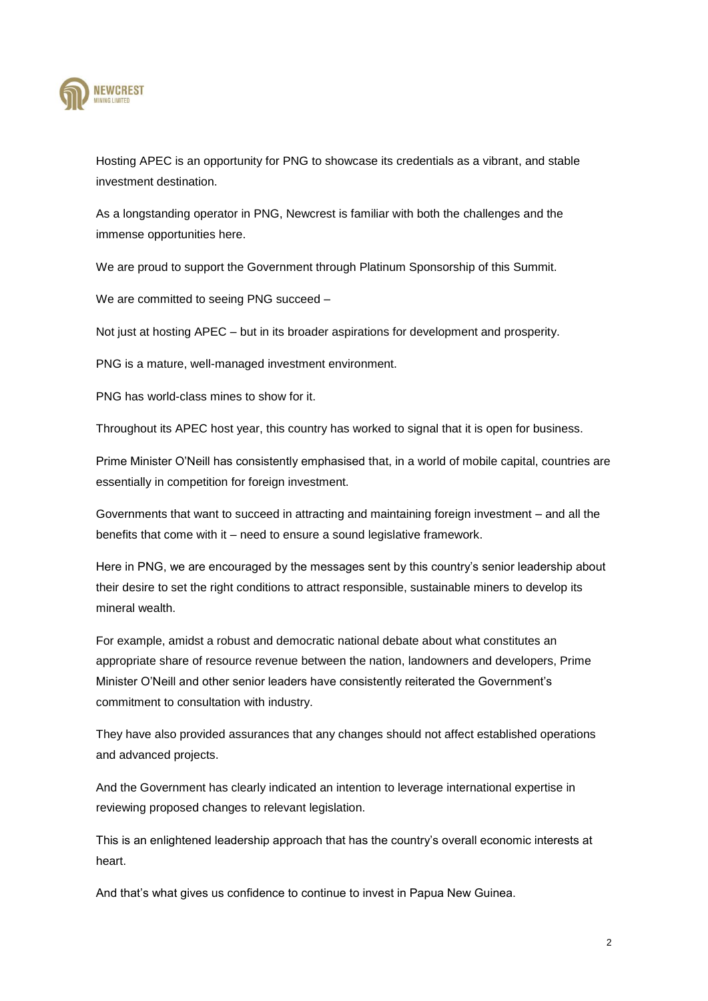

Hosting APEC is an opportunity for PNG to showcase its credentials as a vibrant, and stable investment destination.

As a longstanding operator in PNG, Newcrest is familiar with both the challenges and the immense opportunities here.

We are proud to support the Government through Platinum Sponsorship of this Summit.

We are committed to seeing PNG succeed –

Not just at hosting APEC – but in its broader aspirations for development and prosperity.

PNG is a mature, well-managed investment environment.

PNG has world-class mines to show for it.

Throughout its APEC host year, this country has worked to signal that it is open for business.

Prime Minister O'Neill has consistently emphasised that, in a world of mobile capital, countries are essentially in competition for foreign investment.

Governments that want to succeed in attracting and maintaining foreign investment – and all the benefits that come with it – need to ensure a sound legislative framework.

Here in PNG, we are encouraged by the messages sent by this country's senior leadership about their desire to set the right conditions to attract responsible, sustainable miners to develop its mineral wealth.

For example, amidst a robust and democratic national debate about what constitutes an appropriate share of resource revenue between the nation, landowners and developers, Prime Minister O'Neill and other senior leaders have consistently reiterated the Government's commitment to consultation with industry.

They have also provided assurances that any changes should not affect established operations and advanced projects.

And the Government has clearly indicated an intention to leverage international expertise in reviewing proposed changes to relevant legislation.

This is an enlightened leadership approach that has the country's overall economic interests at heart.

And that's what gives us confidence to continue to invest in Papua New Guinea.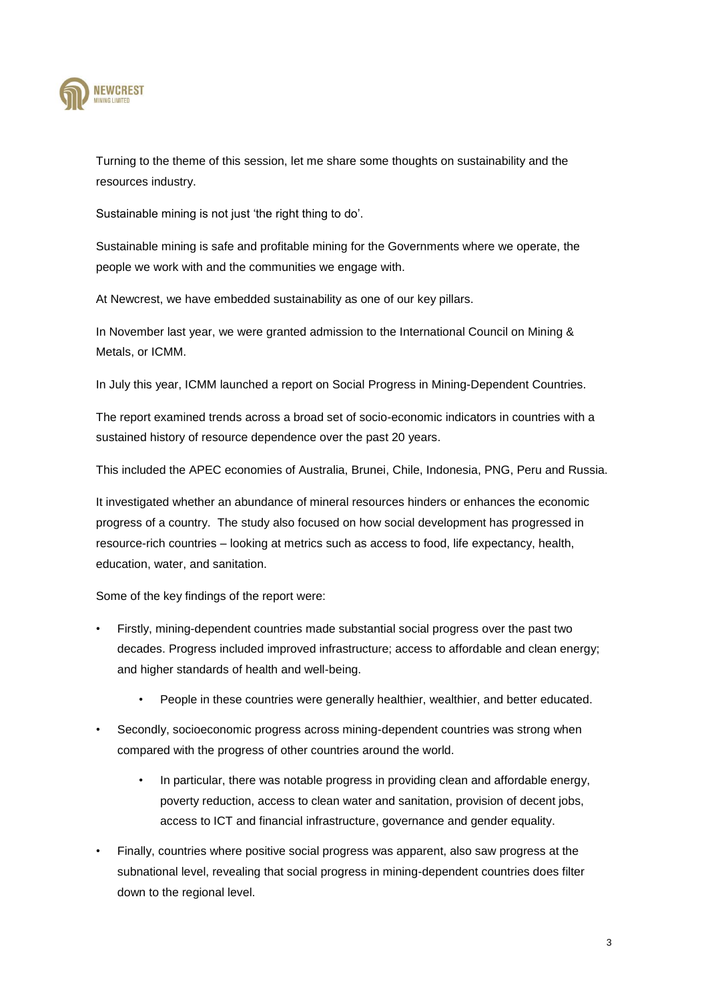

Turning to the theme of this session, let me share some thoughts on sustainability and the resources industry.

Sustainable mining is not just 'the right thing to do'.

Sustainable mining is safe and profitable mining for the Governments where we operate, the people we work with and the communities we engage with.

At Newcrest, we have embedded sustainability as one of our key pillars.

In November last year, we were granted admission to the International Council on Mining & Metals, or ICMM.

In July this year, ICMM launched a report on Social Progress in Mining-Dependent Countries.

The report examined trends across a broad set of socio-economic indicators in countries with a sustained history of resource dependence over the past 20 years.

This included the APEC economies of Australia, Brunei, Chile, Indonesia, PNG, Peru and Russia.

It investigated whether an abundance of mineral resources hinders or enhances the economic progress of a country. The study also focused on how social development has progressed in resource-rich countries – looking at metrics such as access to food, life expectancy, health, education, water, and sanitation.

Some of the key findings of the report were:

- Firstly, mining-dependent countries made substantial social progress over the past two decades. Progress included improved infrastructure; access to affordable and clean energy; and higher standards of health and well-being.
	- People in these countries were generally healthier, wealthier, and better educated.
- Secondly, socioeconomic progress across mining-dependent countries was strong when compared with the progress of other countries around the world.
	- In particular, there was notable progress in providing clean and affordable energy, poverty reduction, access to clean water and sanitation, provision of decent jobs, access to ICT and financial infrastructure, governance and gender equality.
- Finally, countries where positive social progress was apparent, also saw progress at the subnational level, revealing that social progress in mining-dependent countries does filter down to the regional level.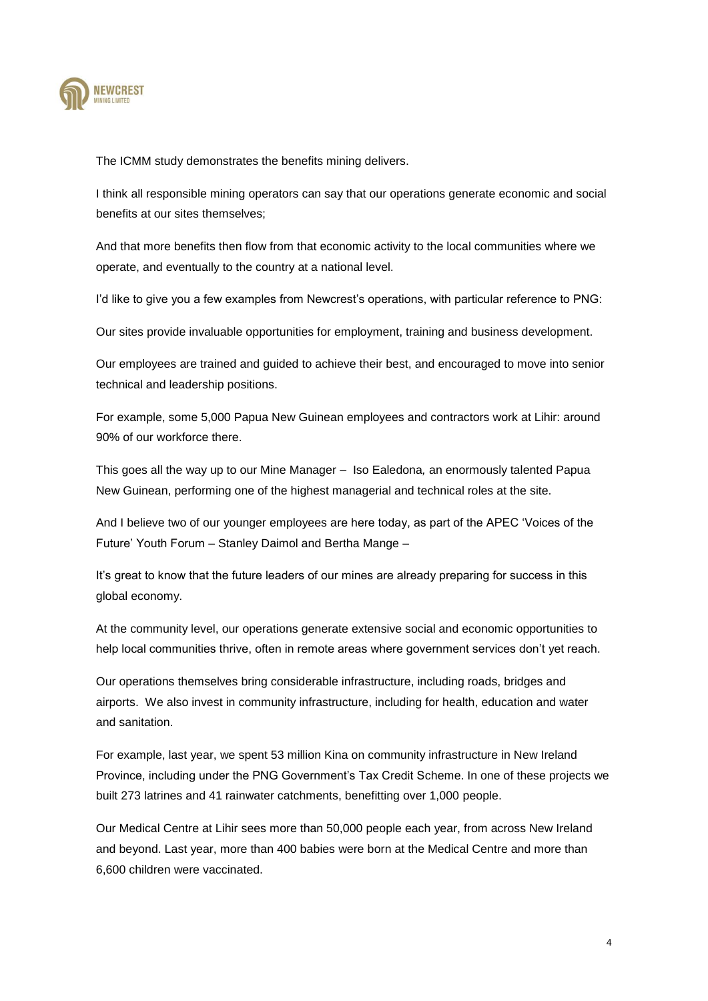

The ICMM study demonstrates the benefits mining delivers.

I think all responsible mining operators can say that our operations generate economic and social benefits at our sites themselves;

And that more benefits then flow from that economic activity to the local communities where we operate, and eventually to the country at a national level.

I'd like to give you a few examples from Newcrest's operations, with particular reference to PNG:

Our sites provide invaluable opportunities for employment, training and business development.

Our employees are trained and guided to achieve their best, and encouraged to move into senior technical and leadership positions.

For example, some 5,000 Papua New Guinean employees and contractors work at Lihir: around 90% of our workforce there.

This goes all the way up to our Mine Manager – Iso Ealedona*,* an enormously talented Papua New Guinean, performing one of the highest managerial and technical roles at the site.

And I believe two of our younger employees are here today, as part of the APEC 'Voices of the Future' Youth Forum – Stanley Daimol and Bertha Mange –

It's great to know that the future leaders of our mines are already preparing for success in this global economy.

At the community level, our operations generate extensive social and economic opportunities to help local communities thrive, often in remote areas where government services don't yet reach.

Our operations themselves bring considerable infrastructure, including roads, bridges and airports. We also invest in community infrastructure, including for health, education and water and sanitation.

For example, last year, we spent 53 million Kina on community infrastructure in New Ireland Province, including under the PNG Government's Tax Credit Scheme. In one of these projects we built 273 latrines and 41 rainwater catchments, benefitting over 1,000 people.

Our Medical Centre at Lihir sees more than 50,000 people each year, from across New Ireland and beyond. Last year, more than 400 babies were born at the Medical Centre and more than 6,600 children were vaccinated.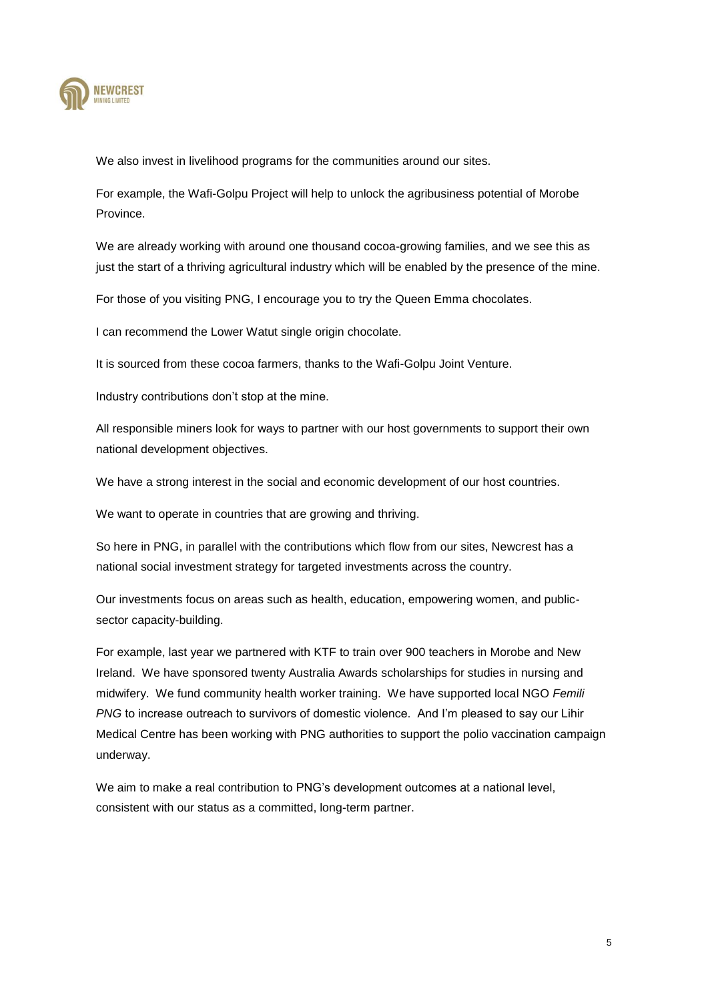

We also invest in livelihood programs for the communities around our sites.

For example, the Wafi-Golpu Project will help to unlock the agribusiness potential of Morobe Province.

We are already working with around one thousand cocoa-growing families, and we see this as just the start of a thriving agricultural industry which will be enabled by the presence of the mine.

For those of you visiting PNG, I encourage you to try the Queen Emma chocolates.

I can recommend the Lower Watut single origin chocolate.

It is sourced from these cocoa farmers, thanks to the Wafi-Golpu Joint Venture.

Industry contributions don't stop at the mine.

All responsible miners look for ways to partner with our host governments to support their own national development objectives.

We have a strong interest in the social and economic development of our host countries.

We want to operate in countries that are growing and thriving.

So here in PNG, in parallel with the contributions which flow from our sites, Newcrest has a national social investment strategy for targeted investments across the country.

Our investments focus on areas such as health, education, empowering women, and publicsector capacity-building.

For example, last year we partnered with KTF to train over 900 teachers in Morobe and New Ireland. We have sponsored twenty Australia Awards scholarships for studies in nursing and midwifery. We fund community health worker training. We have supported local NGO *Femili PNG* to increase outreach to survivors of domestic violence. And I'm pleased to say our Lihir Medical Centre has been working with PNG authorities to support the polio vaccination campaign underway.

We aim to make a real contribution to PNG's development outcomes at a national level, consistent with our status as a committed, long-term partner.